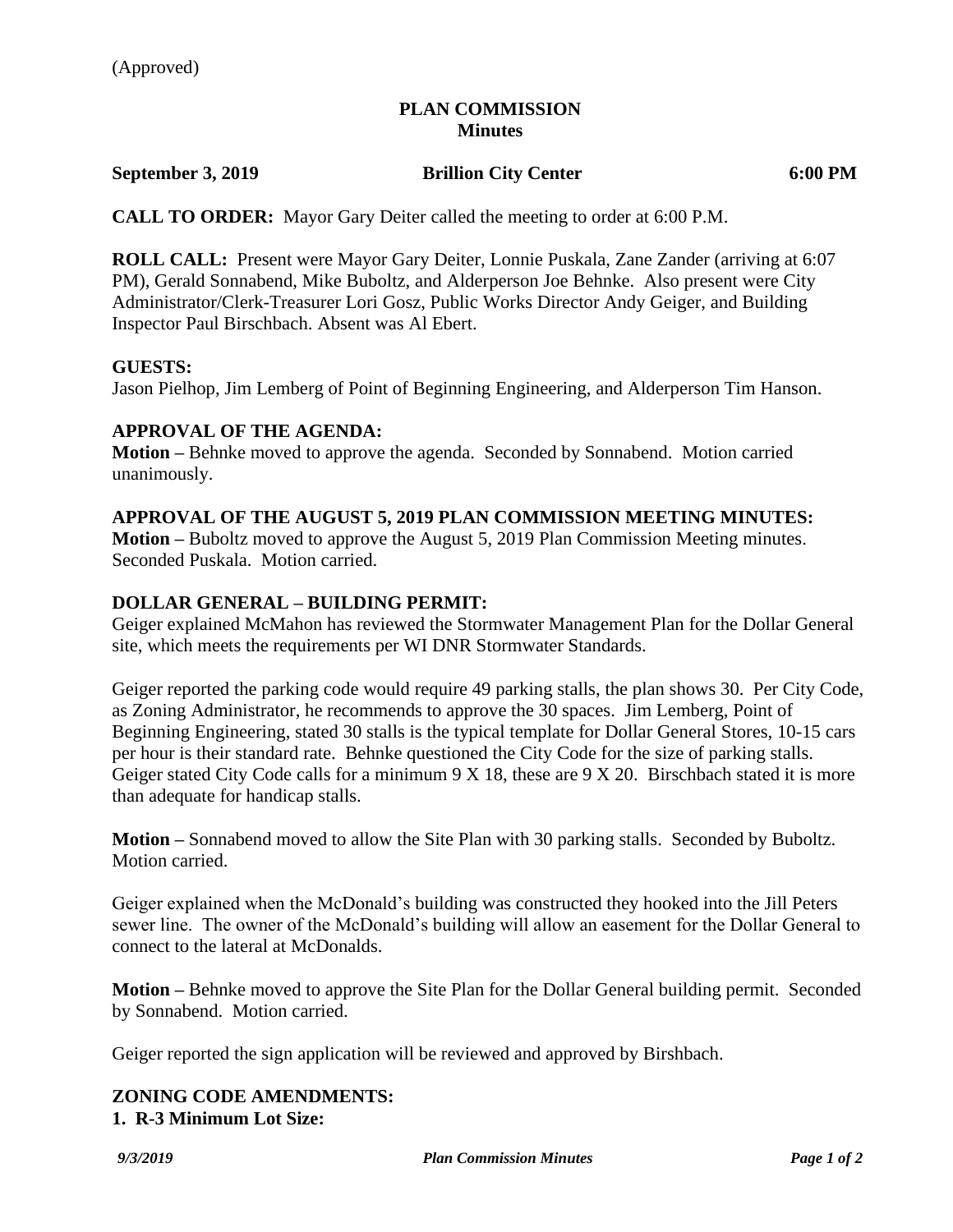# **PLAN COMMISSION Minutes**

### **September 3, 2019 Brillion City Center 6:00 PM**

**CALL TO ORDER:** Mayor Gary Deiter called the meeting to order at 6:00 P.M.

**ROLL CALL:** Present were Mayor Gary Deiter, Lonnie Puskala, Zane Zander (arriving at 6:07 PM), Gerald Sonnabend, Mike Buboltz, and Alderperson Joe Behnke. Also present were City Administrator/Clerk-Treasurer Lori Gosz, Public Works Director Andy Geiger, and Building Inspector Paul Birschbach. Absent was Al Ebert.

### **GUESTS:**

Jason Pielhop, Jim Lemberg of Point of Beginning Engineering, and Alderperson Tim Hanson.

### **APPROVAL OF THE AGENDA:**

**Motion –** Behnke moved to approve the agenda. Seconded by Sonnabend. Motion carried unanimously.

#### **APPROVAL OF THE AUGUST 5, 2019 PLAN COMMISSION MEETING MINUTES:**

**Motion –** Buboltz moved to approve the August 5, 2019 Plan Commission Meeting minutes. Seconded Puskala. Motion carried.

# **DOLLAR GENERAL – BUILDING PERMIT:**

Geiger explained McMahon has reviewed the Stormwater Management Plan for the Dollar General site, which meets the requirements per WI DNR Stormwater Standards.

Geiger reported the parking code would require 49 parking stalls, the plan shows 30. Per City Code, as Zoning Administrator, he recommends to approve the 30 spaces. Jim Lemberg, Point of Beginning Engineering, stated 30 stalls is the typical template for Dollar General Stores, 10-15 cars per hour is their standard rate. Behnke questioned the City Code for the size of parking stalls. Geiger stated City Code calls for a minimum 9 X 18, these are 9 X 20. Birschbach stated it is more than adequate for handicap stalls.

**Motion –** Sonnabend moved to allow the Site Plan with 30 parking stalls. Seconded by Buboltz. Motion carried.

Geiger explained when the McDonald's building was constructed they hooked into the Jill Peters sewer line. The owner of the McDonald's building will allow an easement for the Dollar General to connect to the lateral at McDonalds.

**Motion –** Behnke moved to approve the Site Plan for the Dollar General building permit. Seconded by Sonnabend. Motion carried.

Geiger reported the sign application will be reviewed and approved by Birshbach.

### **ZONING CODE AMENDMENTS: 1. R-3 Minimum Lot Size:**